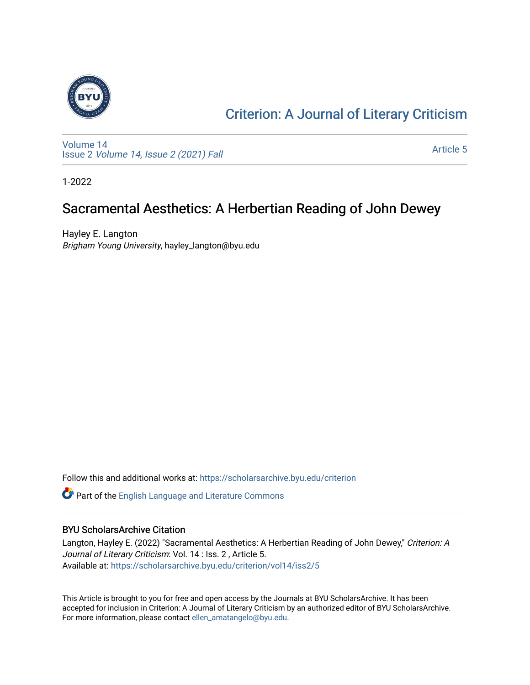

### [Criterion: A Journal of Literary Criticism](https://scholarsarchive.byu.edu/criterion)

[Volume 14](https://scholarsarchive.byu.edu/criterion/vol14) Issue 2 [Volume 14, Issue 2 \(2021\) Fall](https://scholarsarchive.byu.edu/criterion/vol14/iss2)

[Article 5](https://scholarsarchive.byu.edu/criterion/vol14/iss2/5) 

1-2022

### Sacramental Aesthetics: A Herbertian Reading of John Dewey

Hayley E. Langton Brigham Young University, hayley\_langton@byu.edu

Follow this and additional works at: [https://scholarsarchive.byu.edu/criterion](https://scholarsarchive.byu.edu/criterion?utm_source=scholarsarchive.byu.edu%2Fcriterion%2Fvol14%2Fiss2%2F5&utm_medium=PDF&utm_campaign=PDFCoverPages) 

Part of the [English Language and Literature Commons](http://network.bepress.com/hgg/discipline/455?utm_source=scholarsarchive.byu.edu%2Fcriterion%2Fvol14%2Fiss2%2F5&utm_medium=PDF&utm_campaign=PDFCoverPages)

### BYU ScholarsArchive Citation

Langton, Hayley E. (2022) "Sacramental Aesthetics: A Herbertian Reading of John Dewey," Criterion: A Journal of Literary Criticism: Vol. 14 : Iss. 2 , Article 5. Available at: [https://scholarsarchive.byu.edu/criterion/vol14/iss2/5](https://scholarsarchive.byu.edu/criterion/vol14/iss2/5?utm_source=scholarsarchive.byu.edu%2Fcriterion%2Fvol14%2Fiss2%2F5&utm_medium=PDF&utm_campaign=PDFCoverPages)

This Article is brought to you for free and open access by the Journals at BYU ScholarsArchive. It has been accepted for inclusion in Criterion: A Journal of Literary Criticism by an authorized editor of BYU ScholarsArchive. For more information, please contact [ellen\\_amatangelo@byu.edu.](mailto:ellen_amatangelo@byu.edu)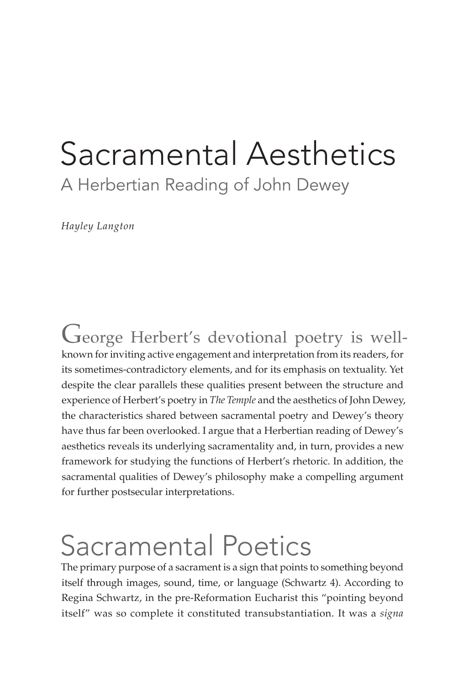## Sacramental Aesthetics A Herbertian Reading of John Dewey

*Hayley Langton*

George Herbert's devotional poetry is wellknown for inviting active engagement and interpretation from its readers, for its sometimes-contradictory elements, and for its emphasis on textuality. Yet despite the clear parallels these qualities present between the structure and experience of Herbert's poetry in *The Temple* and the aesthetics of John Dewey, the characteristics shared between sacramental poetry and Dewey's theory have thus far been overlooked. I argue that a Herbertian reading of Dewey's aesthetics reveals its underlying sacramentality and, in turn, provides a new framework for studying the functions of Herbert's rhetoric. In addition, the sacramental qualities of Dewey's philosophy make a compelling argument for further postsecular interpretations.

# Sacramental Poetics

The primary purpose of a sacrament is a sign that points to something beyond itself through images, sound, time, or language (Schwartz 4). According to Regina Schwartz, in the pre-Reformation Eucharist this "pointing beyond itself" was so complete it constituted transubstantiation. It was a *signa*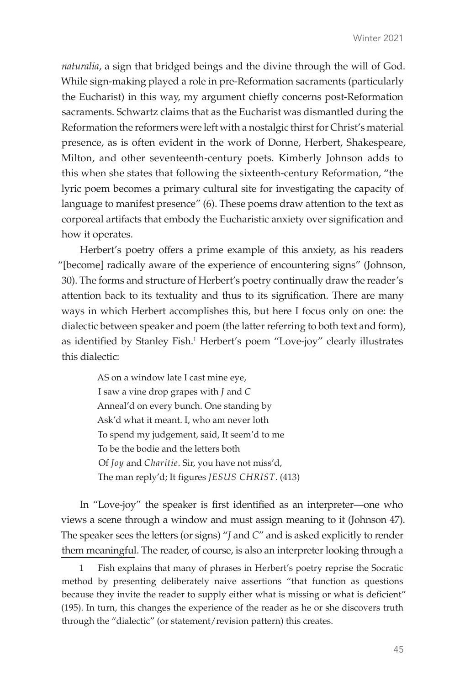*naturalia*, a sign that bridged beings and the divine through the will of God. While sign-making played a role in pre-Reformation sacraments (particularly the Eucharist) in this way, my argument chiefly concerns post-Reformation sacraments. Schwartz claims that as the Eucharist was dismantled during the Reformation the reformers were left with a nostalgic thirst for Christ's material presence, as is often evident in the work of Donne, Herbert, Shakespeare, Milton, and other seventeenth-century poets. Kimberly Johnson adds to this when she states that following the sixteenth-century Reformation, "the lyric poem becomes a primary cultural site for investigating the capacity of language to manifest presence" (6). These poems draw attention to the text as corporeal artifacts that embody the Eucharistic anxiety over signification and how it operates.

Herbert's poetry offers a prime example of this anxiety, as his readers "[become] radically aware of the experience of encountering signs" (Johnson, 30). The forms and structure of Herbert's poetry continually draw the reader's attention back to its textuality and thus to its signification. There are many ways in which Herbert accomplishes this, but here I focus only on one: the dialectic between speaker and poem (the latter referring to both text and form), as identified by Stanley Fish.<sup>1</sup> Herbert's poem "Love-joy" clearly illustrates this dialectic:

> AS on a window late I cast mine eye, I saw a vine drop grapes with *J* and *C* Anneal'd on every bunch. One standing by Ask'd what it meant. I, who am never loth To spend my judgement, said, It seem'd to me To be the bodie and the letters both Of *Joy* and *Charitie*. Sir, you have not miss'd, The man reply'd; It figures *JESUS CHRIST*. (413)

In "Love-joy" the speaker is first identified as an interpreter—one who views a scene through a window and must assign meaning to it (Johnson 47). The speaker sees the letters (or signs) "*J* and *C*" and is asked explicitly to render them meaningful. The reader, of course, is also an interpreter looking through a

<sup>1</sup> Fish explains that many of phrases in Herbert's poetry reprise the Socratic method by presenting deliberately naive assertions "that function as questions because they invite the reader to supply either what is missing or what is deficient" (195). In turn, this changes the experience of the reader as he or she discovers truth through the "dialectic" (or statement/revision pattern) this creates.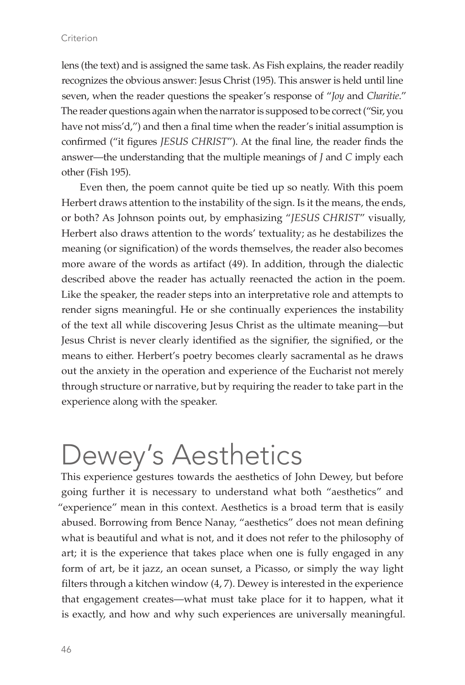#### Criterion

lens (the text) and is assigned the same task. As Fish explains, the reader readily recognizes the obvious answer: Jesus Christ (195). This answer is held until line seven, when the reader questions the speaker's response of "*Joy* and *Charitie*." The reader questions again when the narrator is supposed to be correct ("Sir, you have not miss'd,") and then a final time when the reader's initial assumption is confirmed ("it figures *JESUS CHRIST*"). At the final line, the reader finds the answer—the understanding that the multiple meanings of *J* and *C* imply each other (Fish 195).

Even then, the poem cannot quite be tied up so neatly. With this poem Herbert draws attention to the instability of the sign. Is it the means, the ends, or both? As Johnson points out, by emphasizing "*JESUS CHRIST*" visually, Herbert also draws attention to the words' textuality; as he destabilizes the meaning (or signification) of the words themselves, the reader also becomes more aware of the words as artifact (49). In addition, through the dialectic described above the reader has actually reenacted the action in the poem. Like the speaker, the reader steps into an interpretative role and attempts to render signs meaningful. He or she continually experiences the instability of the text all while discovering Jesus Christ as the ultimate meaning—but Jesus Christ is never clearly identified as the signifier, the signified, or the means to either. Herbert's poetry becomes clearly sacramental as he draws out the anxiety in the operation and experience of the Eucharist not merely through structure or narrative, but by requiring the reader to take part in the experience along with the speaker.

# Dewey's Aesthetics

This experience gestures towards the aesthetics of John Dewey, but before going further it is necessary to understand what both "aesthetics" and "experience" mean in this context. Aesthetics is a broad term that is easily abused. Borrowing from Bence Nanay, "aesthetics" does not mean defining what is beautiful and what is not, and it does not refer to the philosophy of art; it is the experience that takes place when one is fully engaged in any form of art, be it jazz, an ocean sunset, a Picasso, or simply the way light filters through a kitchen window (4, 7). Dewey is interested in the experience that engagement creates—what must take place for it to happen, what it is exactly, and how and why such experiences are universally meaningful.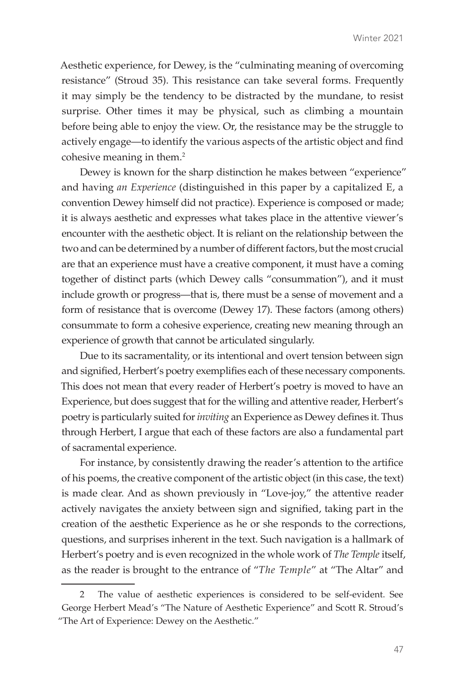Aesthetic experience, for Dewey, is the "culminating meaning of overcoming resistance" (Stroud 35). This resistance can take several forms. Frequently it may simply be the tendency to be distracted by the mundane, to resist surprise. Other times it may be physical, such as climbing a mountain before being able to enjoy the view. Or, the resistance may be the struggle to actively engage—to identify the various aspects of the artistic object and find cohesive meaning in them.<sup>2</sup>

Dewey is known for the sharp distinction he makes between "experience" and having *an Experience* (distinguished in this paper by a capitalized E, a convention Dewey himself did not practice). Experience is composed or made; it is always aesthetic and expresses what takes place in the attentive viewer's encounter with the aesthetic object. It is reliant on the relationship between the two and can be determined by a number of different factors, but the most crucial are that an experience must have a creative component, it must have a coming together of distinct parts (which Dewey calls "consummation"), and it must include growth or progress—that is, there must be a sense of movement and a form of resistance that is overcome (Dewey 17). These factors (among others) consummate to form a cohesive experience, creating new meaning through an experience of growth that cannot be articulated singularly.

Due to its sacramentality, or its intentional and overt tension between sign and signified, Herbert's poetry exemplifies each of these necessary components. This does not mean that every reader of Herbert's poetry is moved to have an Experience, but does suggest that for the willing and attentive reader, Herbert's poetry is particularly suited for *inviting* an Experience as Dewey defines it. Thus through Herbert, I argue that each of these factors are also a fundamental part of sacramental experience.

For instance, by consistently drawing the reader's attention to the artifice of his poems, the creative component of the artistic object (in this case, the text) is made clear. And as shown previously in "Love-joy," the attentive reader actively navigates the anxiety between sign and signified, taking part in the creation of the aesthetic Experience as he or she responds to the corrections, questions, and surprises inherent in the text. Such navigation is a hallmark of Herbert's poetry and is even recognized in the whole work of *The Temple* itself, as the reader is brought to the entrance of "*The Temple*" at "The Altar" and

The value of aesthetic experiences is considered to be self-evident. See George Herbert Mead's "The Nature of Aesthetic Experience" and Scott R. Stroud's "The Art of Experience: Dewey on the Aesthetic."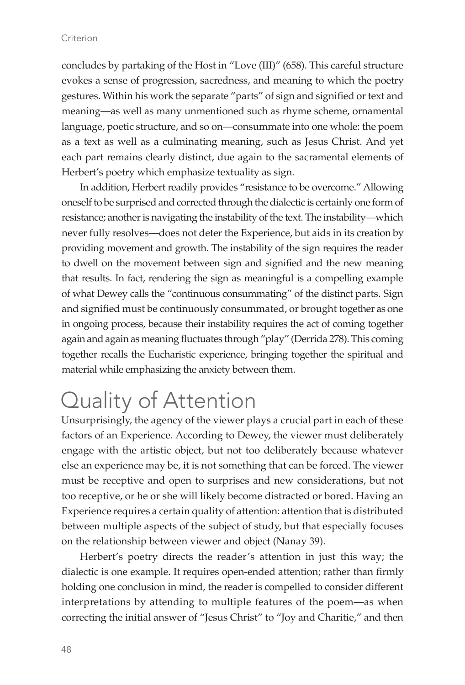#### Criterion

concludes by partaking of the Host in "Love (III)" (658). This careful structure evokes a sense of progression, sacredness, and meaning to which the poetry gestures. Within his work the separate "parts" of sign and signified or text and meaning—as well as many unmentioned such as rhyme scheme, ornamental language, poetic structure, and so on—consummate into one whole: the poem as a text as well as a culminating meaning, such as Jesus Christ. And yet each part remains clearly distinct, due again to the sacramental elements of Herbert's poetry which emphasize textuality as sign.

In addition, Herbert readily provides "resistance to be overcome." Allowing oneself to be surprised and corrected through the dialectic is certainly one form of resistance; another is navigating the instability of the text. The instability—which never fully resolves—does not deter the Experience, but aids in its creation by providing movement and growth. The instability of the sign requires the reader to dwell on the movement between sign and signified and the new meaning that results. In fact, rendering the sign as meaningful is a compelling example of what Dewey calls the "continuous consummating" of the distinct parts. Sign and signified must be continuously consummated, or brought together as one in ongoing process, because their instability requires the act of coming together again and again as meaning fluctuates through "play" (Derrida 278). This coming together recalls the Eucharistic experience, bringing together the spiritual and material while emphasizing the anxiety between them.

## Quality of Attention

Unsurprisingly, the agency of the viewer plays a crucial part in each of these factors of an Experience. According to Dewey, the viewer must deliberately engage with the artistic object, but not too deliberately because whatever else an experience may be, it is not something that can be forced. The viewer must be receptive and open to surprises and new considerations, but not too receptive, or he or she will likely become distracted or bored. Having an Experience requires a certain quality of attention: attention that is distributed between multiple aspects of the subject of study, but that especially focuses on the relationship between viewer and object (Nanay 39).

Herbert's poetry directs the reader's attention in just this way; the dialectic is one example. It requires open-ended attention; rather than firmly holding one conclusion in mind, the reader is compelled to consider different interpretations by attending to multiple features of the poem—as when correcting the initial answer of "Jesus Christ" to "Joy and Charitie," and then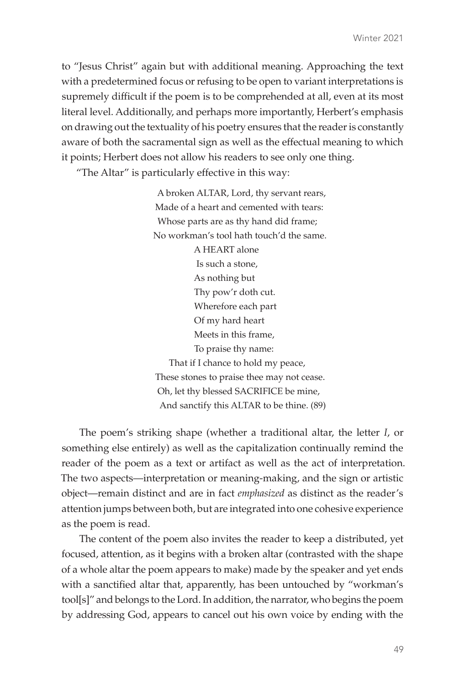to "Jesus Christ" again but with additional meaning. Approaching the text with a predetermined focus or refusing to be open to variant interpretations is supremely difficult if the poem is to be comprehended at all, even at its most literal level. Additionally, and perhaps more importantly, Herbert's emphasis on drawing out the textuality of his poetry ensures that the reader is constantly aware of both the sacramental sign as well as the effectual meaning to which it points; Herbert does not allow his readers to see only one thing.

"The Altar" is particularly effective in this way:

 A broken ALTAR, Lord, thy servant rears, Made of a heart and cemented with tears: Whose parts are as thy hand did frame; No workman's tool hath touch'd the same. A HEART alone Is such a stone, As nothing but Thy pow'r doth cut. Wherefore each part Of my hard heart Meets in this frame, To praise thy name: That if I chance to hold my peace, These stones to praise thee may not cease. Oh, let thy blessed SACRIFICE be mine, And sanctify this ALTAR to be thine. (89)

The poem's striking shape (whether a traditional altar, the letter *I*, or something else entirely) as well as the capitalization continually remind the reader of the poem as a text or artifact as well as the act of interpretation. The two aspects—interpretation or meaning-making, and the sign or artistic object—remain distinct and are in fact *emphasized* as distinct as the reader's attention jumps between both, but are integrated into one cohesive experience as the poem is read.

The content of the poem also invites the reader to keep a distributed, yet focused, attention, as it begins with a broken altar (contrasted with the shape of a whole altar the poem appears to make) made by the speaker and yet ends with a sanctified altar that, apparently, has been untouched by "workman's tool[s]" and belongs to the Lord. In addition, the narrator, who begins the poem by addressing God, appears to cancel out his own voice by ending with the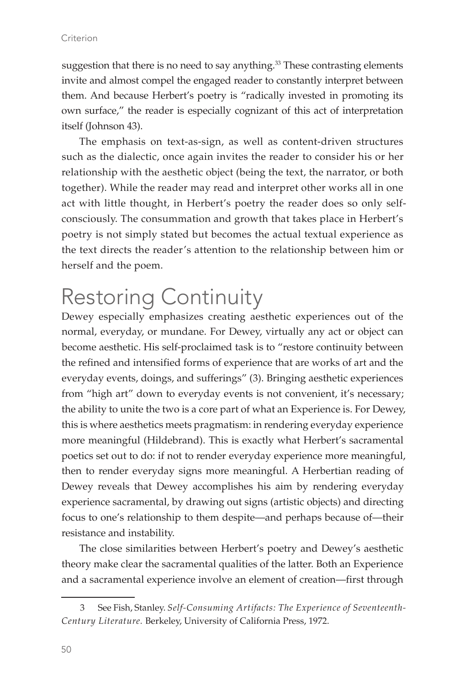suggestion that there is no need to say anything.<sup>33</sup> These contrasting elements invite and almost compel the engaged reader to constantly interpret between them. And because Herbert's poetry is "radically invested in promoting its own surface," the reader is especially cognizant of this act of interpretation itself (Johnson 43).

The emphasis on text-as-sign, as well as content-driven structures such as the dialectic, once again invites the reader to consider his or her relationship with the aesthetic object (being the text, the narrator, or both together). While the reader may read and interpret other works all in one act with little thought, in Herbert's poetry the reader does so only selfconsciously. The consummation and growth that takes place in Herbert's poetry is not simply stated but becomes the actual textual experience as the text directs the reader's attention to the relationship between him or herself and the poem.

## Restoring Continuity

Dewey especially emphasizes creating aesthetic experiences out of the normal, everyday, or mundane. For Dewey, virtually any act or object can become aesthetic. His self-proclaimed task is to "restore continuity between the refined and intensified forms of experience that are works of art and the everyday events, doings, and sufferings" (3). Bringing aesthetic experiences from "high art" down to everyday events is not convenient, it's necessary; the ability to unite the two is a core part of what an Experience is. For Dewey, this is where aesthetics meets pragmatism: in rendering everyday experience more meaningful (Hildebrand). This is exactly what Herbert's sacramental poetics set out to do: if not to render everyday experience more meaningful, then to render everyday signs more meaningful. A Herbertian reading of Dewey reveals that Dewey accomplishes his aim by rendering everyday experience sacramental, by drawing out signs (artistic objects) and directing focus to one's relationship to them despite—and perhaps because of—their resistance and instability.

The close similarities between Herbert's poetry and Dewey's aesthetic theory make clear the sacramental qualities of the latter. Both an Experience and a sacramental experience involve an element of creation—first through

<sup>3</sup> See Fish, Stanley. *Self-Consuming Artifacts: The Experience of Seventeenth-Century Literature.* Berkeley, University of California Press, 1972.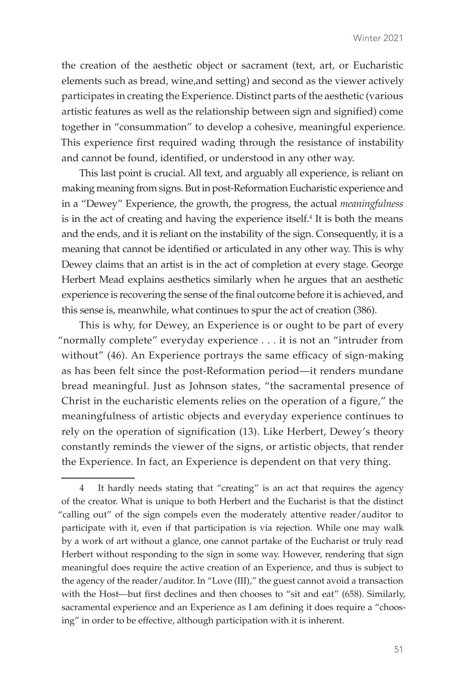the creation of the aesthetic object or sacrament (text, art, or Eucharistic elements such as bread, wine,and setting) and second as the viewer actively participates in creating the Experience. Distinct parts of the aesthetic (various artistic features as well as the relationship between sign and signified) come together in "consummation" to develop a cohesive, meaningful experience. This experience first required wading through the resistance of instability and cannot be found, identified, or understood in any other way.

This last point is crucial. All text, and arguably all experience, is reliant on making meaning from signs. But in post-Reformation Eucharistic experience and in a "Dewey" Experience, the growth, the progress, the actual *meaningfulness* is in the act of creating and having the experience itself.<sup>4</sup> It is both the means and the ends, and it is reliant on the instability of the sign. Consequently, it is a meaning that cannot be identified or articulated in any other way. This is why Dewey claims that an artist is in the act of completion at every stage. George Herbert Mead explains aesthetics similarly when he argues that an aesthetic experience is recovering the sense of the final outcome before it is achieved, and this sense is, meanwhile, what continues to spur the act of creation (386).

This is why, for Dewey, an Experience is or ought to be part of every "normally complete" everyday experience . . . it is not an "intruder from without" (46). An Experience portrays the same efficacy of sign-making as has been felt since the post-Reformation period—it renders mundane bread meaningful. Just as Johnson states, "the sacramental presence of Christ in the eucharistic elements relies on the operation of a figure," the meaningfulness of artistic objects and everyday experience continues to rely on the operation of signification (13). Like Herbert, Dewey's theory constantly reminds the viewer of the signs, or artistic objects, that render the Experience. In fact, an Experience is dependent on that very thing.

<sup>4</sup> It hardly needs stating that "creating" is an act that requires the agency of the creator. What is unique to both Herbert and the Eucharist is that the distinct "calling out" of the sign compels even the moderately attentive reader/auditor to participate with it, even if that participation is via rejection. While one may walk by a work of art without a glance, one cannot partake of the Eucharist or truly read Herbert without responding to the sign in some way. However, rendering that sign meaningful does require the active creation of an Experience, and thus is subject to the agency of the reader/auditor. In "Love (III)," the guest cannot avoid a transaction with the Host—but first declines and then chooses to "sit and eat" (658). Similarly, sacramental experience and an Experience as I am defining it does require a "choosing" in order to be effective, although participation with it is inherent.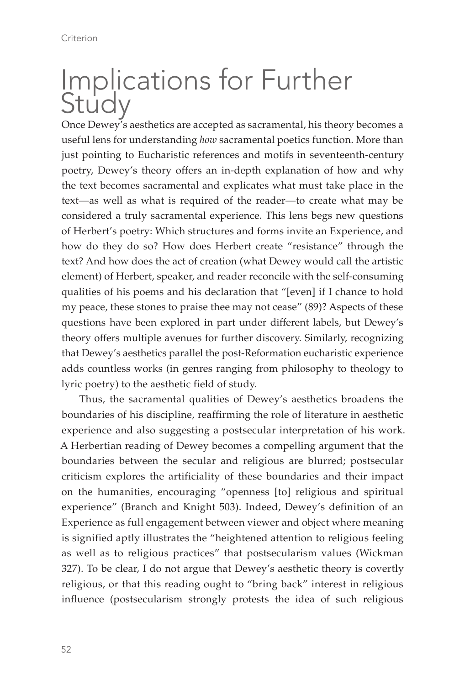## Implications for Further Study

Once Dewey's aesthetics are accepted as sacramental, his theory becomes a useful lens for understanding *how* sacramental poetics function. More than just pointing to Eucharistic references and motifs in seventeenth-century poetry, Dewey's theory offers an in-depth explanation of how and why the text becomes sacramental and explicates what must take place in the text—as well as what is required of the reader—to create what may be considered a truly sacramental experience. This lens begs new questions of Herbert's poetry: Which structures and forms invite an Experience, and how do they do so? How does Herbert create "resistance" through the text? And how does the act of creation (what Dewey would call the artistic element) of Herbert, speaker, and reader reconcile with the self-consuming qualities of his poems and his declaration that "[even] if I chance to hold my peace, these stones to praise thee may not cease" (89)? Aspects of these questions have been explored in part under different labels, but Dewey's theory offers multiple avenues for further discovery. Similarly, recognizing that Dewey's aesthetics parallel the post-Reformation eucharistic experience adds countless works (in genres ranging from philosophy to theology to lyric poetry) to the aesthetic field of study.

Thus, the sacramental qualities of Dewey's aesthetics broadens the boundaries of his discipline, reaffirming the role of literature in aesthetic experience and also suggesting a postsecular interpretation of his work. A Herbertian reading of Dewey becomes a compelling argument that the boundaries between the secular and religious are blurred; postsecular criticism explores the artificiality of these boundaries and their impact on the humanities, encouraging "openness [to] religious and spiritual experience" (Branch and Knight 503). Indeed, Dewey's definition of an Experience as full engagement between viewer and object where meaning is signified aptly illustrates the "heightened attention to religious feeling as well as to religious practices" that postsecularism values (Wickman 327). To be clear, I do not argue that Dewey's aesthetic theory is covertly religious, or that this reading ought to "bring back" interest in religious influence (postsecularism strongly protests the idea of such religious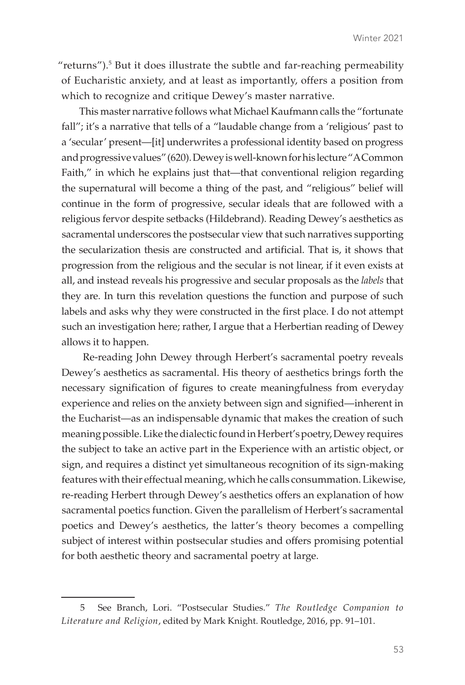" $r$ eturns").<sup>5</sup> But it does illustrate the subtle and far-reaching permeability of Eucharistic anxiety, and at least as importantly, offers a position from which to recognize and critique Dewey's master narrative.

This master narrative follows what Michael Kaufmann calls the "fortunate fall"; it's a narrative that tells of a "laudable change from a 'religious' past to a 'secular' present—[it] underwrites a professional identity based on progress and progressive values" (620). Dewey is well-known for his lecture "A Common Faith," in which he explains just that—that conventional religion regarding the supernatural will become a thing of the past, and "religious" belief will continue in the form of progressive, secular ideals that are followed with a religious fervor despite setbacks (Hildebrand). Reading Dewey's aesthetics as sacramental underscores the postsecular view that such narratives supporting the secularization thesis are constructed and artificial. That is, it shows that progression from the religious and the secular is not linear, if it even exists at all, and instead reveals his progressive and secular proposals as the *labels* that they are. In turn this revelation questions the function and purpose of such labels and asks why they were constructed in the first place. I do not attempt such an investigation here; rather, I argue that a Herbertian reading of Dewey allows it to happen.

 Re-reading John Dewey through Herbert's sacramental poetry reveals Dewey's aesthetics as sacramental. His theory of aesthetics brings forth the necessary signification of figures to create meaningfulness from everyday experience and relies on the anxiety between sign and signified—inherent in the Eucharist—as an indispensable dynamic that makes the creation of such meaning possible. Like the dialectic found in Herbert's poetry, Dewey requires the subject to take an active part in the Experience with an artistic object, or sign, and requires a distinct yet simultaneous recognition of its sign-making features with their effectual meaning, which he calls consummation. Likewise, re-reading Herbert through Dewey's aesthetics offers an explanation of how sacramental poetics function. Given the parallelism of Herbert's sacramental poetics and Dewey's aesthetics, the latter's theory becomes a compelling subject of interest within postsecular studies and offers promising potential for both aesthetic theory and sacramental poetry at large.

<sup>5</sup> See Branch, Lori. "Postsecular Studies." *The Routledge Companion to Literature and Religion*, edited by Mark Knight. Routledge, 2016, pp. 91–101.